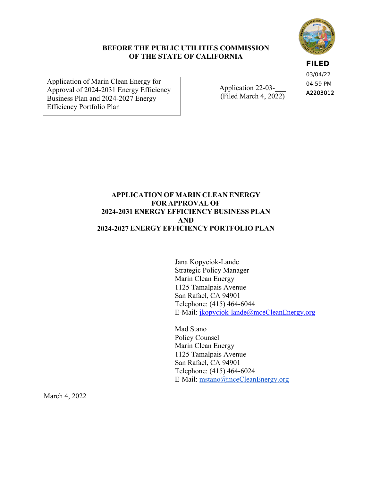#### **BEFORE THE PUBLIC UTILITIES COMMISSION OF THE STATE OF CALIFORNIA**

Application of Marin Clean Energy for Approval of 2024-2031 Energy Efficiency Business Plan and 2024-2027 Energy Efficiency Portfolio Plan

Application 22-03-(Filed March 4, 2022) **FILED** 03/04/22

A2203012 04:59 PM

# **APPLICATION OF MARIN CLEAN ENERGY FOR APPROVAL OF 2024-2031 ENERGY EFFICIENCY BUSINESS PLAN AND 2024-2027 ENERGY EFFICIENCY PORTFOLIO PLAN**

Jana Kopyciok-Lande Strategic Policy Manager Marin Clean Energy 1125 Tamalpais Avenue San Rafael, CA 94901 Telephone: (415) 464-6044 E-Mail: jkopyciok-lande@mceCleanEnergy.org

Mad Stano Policy Counsel Marin Clean Energy 1125 Tamalpais Avenue San Rafael, CA 94901 Telephone: (415) 464-6024 E-Mail: mstano@mceCleanEnergy.org

March 4, 2022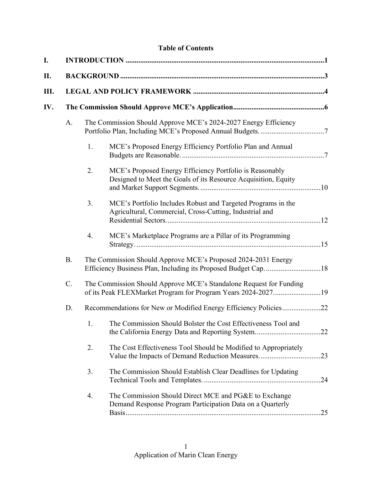# **Table of Contents**

| I.  |           |                                                                 |                                                                                                                                    |     |  |  |
|-----|-----------|-----------------------------------------------------------------|------------------------------------------------------------------------------------------------------------------------------------|-----|--|--|
| П.  |           |                                                                 |                                                                                                                                    |     |  |  |
| Ш.  |           |                                                                 |                                                                                                                                    |     |  |  |
| IV. |           |                                                                 |                                                                                                                                    |     |  |  |
|     | A.        | The Commission Should Approve MCE's 2024-2027 Energy Efficiency |                                                                                                                                    |     |  |  |
|     |           | 1.                                                              | MCE's Proposed Energy Efficiency Portfolio Plan and Annual                                                                         |     |  |  |
|     |           | 2.                                                              | MCE's Proposed Energy Efficiency Portfolio is Reasonably<br>Designed to Meet the Goals of its Resource Acquisition, Equity         |     |  |  |
|     |           | 3.                                                              | MCE's Portfolio Includes Robust and Targeted Programs in the<br>Agricultural, Commercial, Cross-Cutting, Industrial and            |     |  |  |
|     |           | 4.                                                              | MCE's Marketplace Programs are a Pillar of its Programming                                                                         |     |  |  |
|     | <b>B.</b> |                                                                 | The Commission Should Approve MCE's Proposed 2024-2031 Energy                                                                      |     |  |  |
|     | C.        |                                                                 | The Commission Should Approve MCE's Standalone Request for Funding<br>of its Peak FLEXMarket Program for Program Years 2024-202719 |     |  |  |
|     | D.        |                                                                 | Recommendations for New or Modified Energy Efficiency Policies22                                                                   |     |  |  |
|     |           | 1.                                                              | The Commission Should Bolster the Cost Effectiveness Tool and                                                                      |     |  |  |
|     |           | 2.                                                              | The Cost Effectiveness Tool Should be Modified to Appropriately                                                                    |     |  |  |
|     |           | 3.                                                              | The Commission Should Establish Clear Deadlines for Updating                                                                       |     |  |  |
|     |           | 4.                                                              | The Commission Should Direct MCE and PG&E to Exchange<br>Demand Response Program Participation Data on a Quarterly                 | .25 |  |  |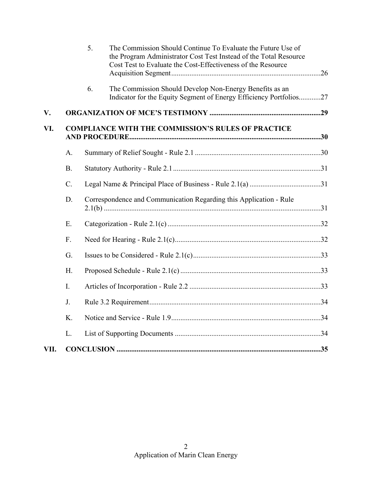|      |           | 5. | The Commission Should Continue To Evaluate the Future Use of<br>the Program Administrator Cost Test Instead of the Total Resource<br>Cost Test to Evaluate the Cost-Effectiveness of the Resource |  |
|------|-----------|----|---------------------------------------------------------------------------------------------------------------------------------------------------------------------------------------------------|--|
|      |           | 6. | The Commission Should Develop Non-Energy Benefits as an<br>Indicator for the Equity Segment of Energy Efficiency Portfolios27                                                                     |  |
| V.   |           |    |                                                                                                                                                                                                   |  |
| VI.  |           |    | <b>COMPLIANCE WITH THE COMMISSION'S RULES OF PRACTICE</b>                                                                                                                                         |  |
|      | A.        |    |                                                                                                                                                                                                   |  |
|      | <b>B.</b> |    |                                                                                                                                                                                                   |  |
|      | C.        |    |                                                                                                                                                                                                   |  |
|      | D.        |    | Correspondence and Communication Regarding this Application - Rule                                                                                                                                |  |
|      | E.        |    |                                                                                                                                                                                                   |  |
|      | F.        |    |                                                                                                                                                                                                   |  |
|      | G.        |    |                                                                                                                                                                                                   |  |
|      | Η.        |    |                                                                                                                                                                                                   |  |
|      | I.        |    |                                                                                                                                                                                                   |  |
|      | J.        |    |                                                                                                                                                                                                   |  |
|      | K.        |    |                                                                                                                                                                                                   |  |
|      | L.        |    |                                                                                                                                                                                                   |  |
| VII. |           |    |                                                                                                                                                                                                   |  |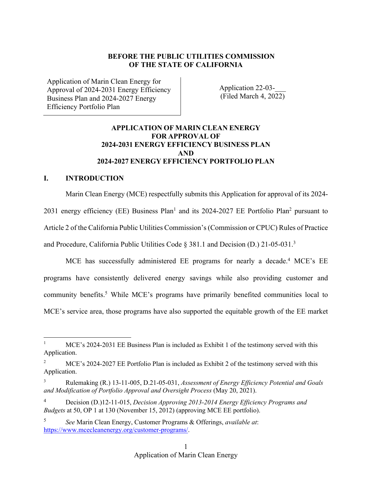#### **BEFORE THE PUBLIC UTILITIES COMMISSION OF THE STATE OF CALIFORNIA**

Application of Marin Clean Energy for Approval of 2024-2031 Energy Efficiency Business Plan and 2024-2027 Energy Efficiency Portfolio Plan

Application 22-03-\_\_\_ (Filed March 4, 2022)

# **APPLICATION OF MARIN CLEAN ENERGY FOR APPROVAL OF 2024-2031 ENERGY EFFICIENCY BUSINESS PLAN AND 2024-2027 ENERGY EFFICIENCY PORTFOLIO PLAN**

#### **I. INTRODUCTION**

Marin Clean Energy (MCE) respectfully submits this Application for approval of its 2024- 2031 energy efficiency (EE) Business Plan<sup>1</sup> and its 2024-2027 EE Portfolio Plan<sup>2</sup> pursuant to Article 2 of the California Public Utilities Commission's (Commission or CPUC) Rules of Practice and Procedure, California Public Utilities Code § 381.1 and Decision (D.) 21-05-031.<sup>3</sup>

MCE has successfully administered EE programs for nearly a decade.<sup>4</sup> MCE's EE programs have consistently delivered energy savings while also providing customer and community benefits.<sup>5</sup> While MCE's programs have primarily benefited communities local to MCE's service area, those programs have also supported the equitable growth of the EE market

<sup>1</sup> MCE's 2024-2031 EE Business Plan is included as Exhibit 1 of the testimony served with this Application.

<sup>2</sup> MCE's 2024-2027 EE Portfolio Plan is included as Exhibit 2 of the testimony served with this Application.

<sup>3</sup> Rulemaking (R.) 13-11-005, D.21-05-031, *Assessment of Energy Efficiency Potential and Goals and Modification of Portfolio Approval and Oversight Process* (May 20, 2021).

<sup>4</sup> Decision (D.)12-11-015, *Decision Approving 2013-2014 Energy Efficiency Programs and Budgets* at 50, OP 1 at 130 (November 15, 2012) (approving MCE EE portfolio).

<sup>5</sup> *See* Marin Clean Energy, Customer Programs & Offerings, *available at*: https://www.mcecleanenergy.org/customer-programs/.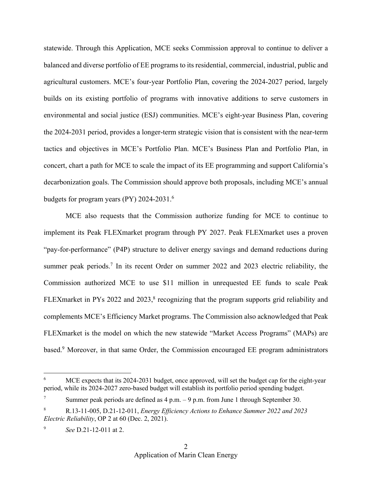statewide. Through this Application, MCE seeks Commission approval to continue to deliver a balanced and diverse portfolio of EE programs to its residential, commercial, industrial, public and agricultural customers. MCE's four-year Portfolio Plan, covering the 2024-2027 period, largely builds on its existing portfolio of programs with innovative additions to serve customers in environmental and social justice (ESJ) communities. MCE's eight-year Business Plan, covering the 2024-2031 period, provides a longer-term strategic vision that is consistent with the near-term tactics and objectives in MCE's Portfolio Plan. MCE's Business Plan and Portfolio Plan, in concert, chart a path for MCE to scale the impact of its EE programming and support California's decarbonization goals. The Commission should approve both proposals, including MCE's annual budgets for program years (PY) 2024-2031.<sup>6</sup>

MCE also requests that the Commission authorize funding for MCE to continue to implement its Peak FLEXmarket program through PY 2027. Peak FLEXmarket uses a proven "pay-for-performance" (P4P) structure to deliver energy savings and demand reductions during summer peak periods.<sup>7</sup> In its recent Order on summer 2022 and 2023 electric reliability, the Commission authorized MCE to use \$11 million in unrequested EE funds to scale Peak FLEX market in PYs 2022 and 2023, $\frac{8}{3}$  recognizing that the program supports grid reliability and complements MCE's Efficiency Market programs. The Commission also acknowledged that Peak FLEXmarket is the model on which the new statewide "Market Access Programs" (MAPs) are based.<sup>9</sup> Moreover, in that same Order, the Commission encouraged EE program administrators

MCE expects that its 2024-2031 budget, once approved, will set the budget cap for the eight-year period, while its 2024-2027 zero-based budget will establish its portfolio period spending budget.

Summer peak periods are defined as  $4 \text{ p.m.} - 9 \text{ p.m.}$  from June 1 through September 30.

<sup>8</sup> R.13-11-005, D.21-12-011, *Energy Efficiency Actions to Enhance Summer 2022 and 2023 Electric Reliability*, OP 2 at 60 (Dec. 2, 2021).

<sup>9</sup> *See* D.21-12-011 at 2.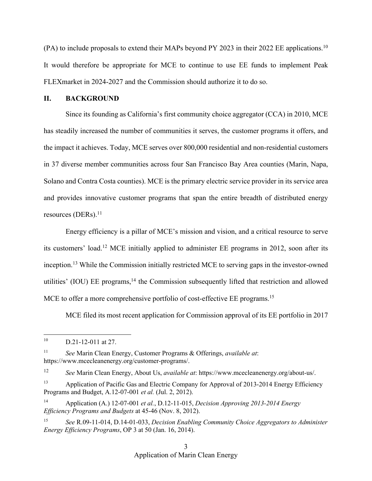(PA) to include proposals to extend their MAPs beyond PY 2023 in their 2022 EE applications.<sup>10</sup> It would therefore be appropriate for MCE to continue to use EE funds to implement Peak FLEXmarket in 2024-2027 and the Commission should authorize it to do so.

#### **II. BACKGROUND**

Since its founding as California's first community choice aggregator (CCA) in 2010, MCE has steadily increased the number of communities it serves, the customer programs it offers, and the impact it achieves. Today, MCE serves over 800,000 residential and non-residential customers in 37 diverse member communities across four San Francisco Bay Area counties (Marin, Napa, Solano and Contra Costa counties). MCE is the primary electric service provider in its service area and provides innovative customer programs that span the entire breadth of distributed energy resources (DERs). $^{11}$ 

Energy efficiency is a pillar of MCE's mission and vision, and a critical resource to serve its customers' load.<sup>12</sup> MCE initially applied to administer EE programs in 2012, soon after its inception.<sup>13</sup> While the Commission initially restricted MCE to serving gaps in the investor-owned utilities' (IOU) EE programs,<sup>14</sup> the Commission subsequently lifted that restriction and allowed MCE to offer a more comprehensive portfolio of cost-effective EE programs.<sup>15</sup>

MCE filed its most recent application for Commission approval of its EE portfolio in 2017

<sup>11</sup> *See* Marin Clean Energy, Customer Programs & Offerings, *available at*: https://www.mcecleanenergy.org/customer-programs/.

<sup>12</sup> *See* Marin Clean Energy, About Us, *available at*: https://www.mcecleanenergy.org/about-us/.

 $10$  D.21-12-011 at 27.

<sup>&</sup>lt;sup>13</sup> Application of Pacific Gas and Electric Company for Approval of 2013-2014 Energy Efficiency Programs and Budget, A.12-07-001 *et al.* (Jul. 2, 2012).

<sup>14</sup> Application (A.) 12-07-001 *et al.*, D.12-11-015, *Decision Approving 2013-2014 Energy Efficiency Programs and Budgets* at 45-46 (Nov. 8, 2012).

<sup>15</sup> *See* R.09-11-014, D.14-01-033, *Decision Enabling Community Choice Aggregators to Administer Energy Efficiency Programs*, OP 3 at 50 (Jan. 16, 2014).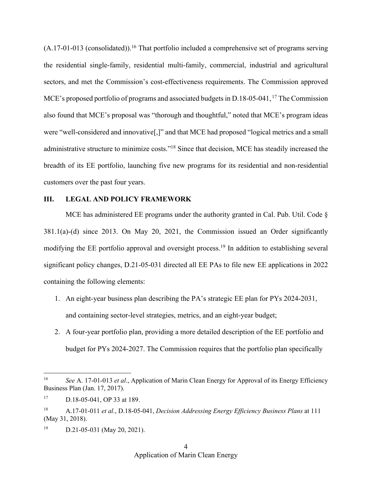$(A.17-01-013$  (consolidated)).<sup>16</sup> That portfolio included a comprehensive set of programs serving the residential single-family, residential multi-family, commercial, industrial and agricultural sectors, and met the Commission's cost-effectiveness requirements. The Commission approved MCE's proposed portfolio of programs and associated budgets in D.18-05-041,<sup>17</sup> The Commission also found that MCE's proposal was "thorough and thoughtful," noted that MCE's program ideas were "well-considered and innovative[,]" and that MCE had proposed "logical metrics and a small administrative structure to minimize costs."<sup>18</sup> Since that decision, MCE has steadily increased the breadth of its EE portfolio, launching five new programs for its residential and non-residential customers over the past four years.

#### **III. LEGAL AND POLICY FRAMEWORK**

MCE has administered EE programs under the authority granted in Cal. Pub. Util. Code § 381.1(a)-(d) since 2013. On May 20, 2021, the Commission issued an Order significantly modifying the EE portfolio approval and oversight process.<sup>19</sup> In addition to establishing several significant policy changes, D.21-05-031 directed all EE PAs to file new EE applications in 2022 containing the following elements:

- 1. An eight-year business plan describing the PA's strategic EE plan for PYs 2024-2031, and containing sector-level strategies, metrics, and an eight-year budget;
- 2. A four-year portfolio plan, providing a more detailed description of the EE portfolio and budget for PYs 2024-2027. The Commission requires that the portfolio plan specifically

<sup>16</sup> *See* A. 17-01-013 *et al*., Application of Marin Clean Energy for Approval of its Energy Efficiency Business Plan (Jan. 17, 2017).

<sup>17</sup> D.18-05-041, OP 33 at 189.

<sup>18</sup> A.17-01-011 *et al.*, D.18-05-041, *Decision Addressing Energy Efficiency Business Plans* at 111 (May 31, 2018).

<sup>&</sup>lt;sup>19</sup> D.21-05-031 (May 20, 2021).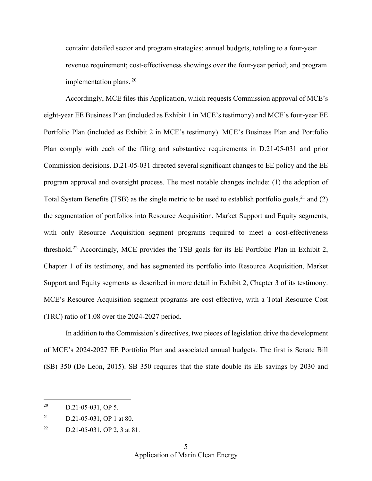contain: detailed sector and program strategies; annual budgets, totaling to a four-year revenue requirement; cost-effectiveness showings over the four-year period; and program implementation plans. <sup>20</sup>

Accordingly, MCE files this Application, which requests Commission approval of MCE's eight-year EE Business Plan (included as Exhibit 1 in MCE's testimony) and MCE's four-year EE Portfolio Plan (included as Exhibit 2 in MCE's testimony). MCE's Business Plan and Portfolio Plan comply with each of the filing and substantive requirements in D.21-05-031 and prior Commission decisions. D.21-05-031 directed several significant changes to EE policy and the EE program approval and oversight process. The most notable changes include: (1) the adoption of Total System Benefits (TSB) as the single metric to be used to establish portfolio goals,  $21$  and (2) the segmentation of portfolios into Resource Acquisition, Market Support and Equity segments, with only Resource Acquisition segment programs required to meet a cost-effectiveness threshold.<sup>22</sup> Accordingly, MCE provides the TSB goals for its EE Portfolio Plan in Exhibit 2, Chapter 1 of its testimony, and has segmented its portfolio into Resource Acquisition, Market Support and Equity segments as described in more detail in Exhibit 2, Chapter 3 of its testimony. MCE's Resource Acquisition segment programs are cost effective, with a Total Resource Cost (TRC) ratio of 1.08 over the 2024-2027 period.

In addition to the Commission's directives, two pieces of legislation drive the development of MCE's 2024-2027 EE Portfolio Plan and associated annual budgets. The first is Senate Bill (SB) 350 (De León, 2015). SB 350 requires that the state double its EE savings by 2030 and

<sup>&</sup>lt;sup>20</sup> D.21-05-031, OP 5.

 $21$  D.21-05-031, OP 1 at 80.

<sup>&</sup>lt;sup>22</sup> D.21-05-031, OP 2, 3 at 81.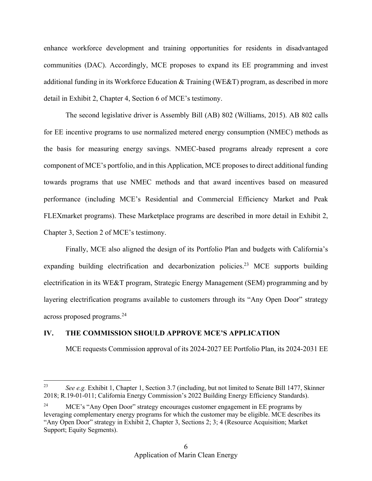enhance workforce development and training opportunities for residents in disadvantaged communities (DAC). Accordingly, MCE proposes to expand its EE programming and invest additional funding in its Workforce Education  $\&$  Training (WE&T) program, as described in more detail in Exhibit 2, Chapter 4, Section 6 of MCE's testimony.

The second legislative driver is Assembly Bill (AB) 802 (Williams, 2015). AB 802 calls for EE incentive programs to use normalized metered energy consumption (NMEC) methods as the basis for measuring energy savings. NMEC-based programs already represent a core component of MCE's portfolio, and in this Application, MCE proposes to direct additional funding towards programs that use NMEC methods and that award incentives based on measured performance (including MCE's Residential and Commercial Efficiency Market and Peak FLEXmarket programs). These Marketplace programs are described in more detail in Exhibit 2, Chapter 3, Section 2 of MCE's testimony.

Finally, MCE also aligned the design of its Portfolio Plan and budgets with California's expanding building electrification and decarbonization policies.<sup>23</sup> MCE supports building electrification in its WE&T program, Strategic Energy Management (SEM) programming and by layering electrification programs available to customers through its "Any Open Door" strategy across proposed programs.<sup>24</sup>

#### **IV. THE COMMISSION SHOULD APPROVE MCE'S APPLICATION**

MCE requests Commission approval of its 2024-2027 EE Portfolio Plan, its 2024-2031 EE

<sup>23</sup> *See e.g.* Exhibit 1, Chapter 1, Section 3.7 (including, but not limited to Senate Bill 1477, Skinner 2018; R.19-01-011; California Energy Commission's 2022 Building Energy Efficiency Standards).

<sup>24</sup> MCE's "Any Open Door" strategy encourages customer engagement in EE programs by leveraging complementary energy programs for which the customer may be eligible. MCE describes its "Any Open Door" strategy in Exhibit 2, Chapter 3, Sections 2; 3; 4 (Resource Acquisition; Market Support; Equity Segments).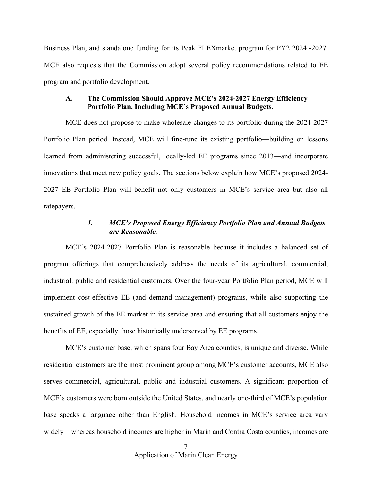Business Plan, and standalone funding for its Peak FLEXmarket program for PY2 2024 -202**7**. MCE also requests that the Commission adopt several policy recommendations related to EE program and portfolio development.

#### **A. The Commission Should Approve MCE's 2024-2027 Energy Efficiency Portfolio Plan, Including MCE's Proposed Annual Budgets.**

MCE does not propose to make wholesale changes to its portfolio during the 2024-2027 Portfolio Plan period. Instead, MCE will fine-tune its existing portfolio—building on lessons learned from administering successful, locally-led EE programs since 2013—and incorporate innovations that meet new policy goals. The sections below explain how MCE's proposed 2024- 2027 EE Portfolio Plan will benefit not only customers in MCE's service area but also all ratepayers.

#### *1. MCE's Proposed Energy Efficiency Portfolio Plan and Annual Budgets are Reasonable.*

MCE's 2024-2027 Portfolio Plan is reasonable because it includes a balanced set of program offerings that comprehensively address the needs of its agricultural, commercial, industrial, public and residential customers. Over the four-year Portfolio Plan period, MCE will implement cost-effective EE (and demand management) programs, while also supporting the sustained growth of the EE market in its service area and ensuring that all customers enjoy the benefits of EE, especially those historically underserved by EE programs.

MCE's customer base, which spans four Bay Area counties, is unique and diverse. While residential customers are the most prominent group among MCE's customer accounts, MCE also serves commercial, agricultural, public and industrial customers. A significant proportion of MCE's customers were born outside the United States, and nearly one-third of MCE's population base speaks a language other than English. Household incomes in MCE's service area vary widely—whereas household incomes are higher in Marin and Contra Costa counties, incomes are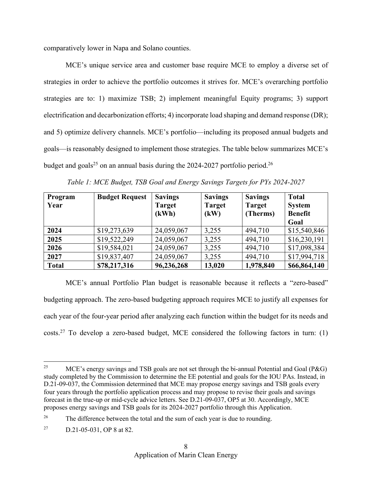comparatively lower in Napa and Solano counties.

MCE's unique service area and customer base require MCE to employ a diverse set of strategies in order to achieve the portfolio outcomes it strives for. MCE's overarching portfolio strategies are to: 1) maximize TSB; 2) implement meaningful Equity programs; 3) support electrification and decarbonization efforts; 4) incorporate load shaping and demand response (DR); and 5) optimize delivery channels. MCE's portfolio—including its proposed annual budgets and goals—is reasonably designed to implement those strategies. The table below summarizes MCE's budget and goals<sup>25</sup> on an annual basis during the 2024-2027 portfolio period.<sup>26</sup>

| Program<br>Year | <b>Budget Request</b> | <b>Savings</b><br><b>Target</b> | <b>Savings</b><br><b>Target</b> | <b>Savings</b><br><b>Target</b> | <b>Total</b><br><b>System</b> |
|-----------------|-----------------------|---------------------------------|---------------------------------|---------------------------------|-------------------------------|
|                 |                       | (kWh)                           | (kW)                            | (Therms)                        | <b>Benefit</b>                |
|                 |                       |                                 |                                 |                                 | Goal                          |
| 2024            | \$19,273,639          | 24,059,067                      | 3,255                           | 494,710                         | \$15,540,846                  |
| 2025            | \$19,522,249          | 24,059,067                      | 3,255                           | 494,710                         | \$16,230,191                  |
| 2026            | \$19,584,021          | 24,059,067                      | 3,255                           | 494,710                         | \$17,098,384                  |
| 2027            | \$19,837,407          | 24,059,067                      | 3,255                           | 494,710                         | \$17,994,718                  |
| <b>Total</b>    | \$78,217,316          | 96,236,268                      | 13,020                          | 1,978,840                       | \$66,864,140                  |

*Table 1: MCE Budget, TSB Goal and Energy Savings Targets for PYs 2024-2027*

MCE's annual Portfolio Plan budget is reasonable because it reflects a "zero-based" budgeting approach. The zero-based budgeting approach requires MCE to justify all expenses for each year of the four-year period after analyzing each function within the budget for its needs and costs.<sup>27</sup> To develop a zero-based budget, MCE considered the following factors in turn: (1)

<sup>&</sup>lt;sup>25</sup> MCE's energy savings and TSB goals are not set through the bi-annual Potential and Goal (P&G) study completed by the Commission to determine the EE potential and goals for the IOU PAs. Instead, in D.21-09-037, the Commission determined that MCE may propose energy savings and TSB goals every four years through the portfolio application process and may propose to revise their goals and savings forecast in the true-up or mid-cycle advice letters. See D.21-09-037, OP5 at 30. Accordingly, MCE proposes energy savings and TSB goals for its 2024-2027 portfolio through this Application.

<sup>&</sup>lt;sup>26</sup> The difference between the total and the sum of each year is due to rounding.

<sup>27</sup> D.21-05-031, OP 8 at 82.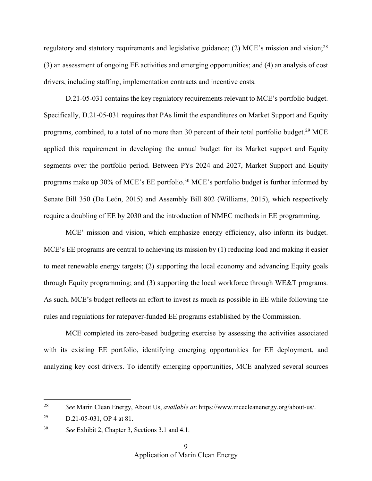regulatory and statutory requirements and legislative guidance; (2) MCE's mission and vision;<sup>28</sup> (3) an assessment of ongoing EE activities and emerging opportunities; and (4) an analysis of cost drivers, including staffing, implementation contracts and incentive costs.

D.21-05-031 contains the key regulatory requirements relevant to MCE's portfolio budget. Specifically, D.21-05-031 requires that PAs limit the expenditures on Market Support and Equity programs, combined, to a total of no more than 30 percent of their total portfolio budget.<sup>29</sup> MCE applied this requirement in developing the annual budget for its Market support and Equity segments over the portfolio period. Between PYs 2024 and 2027, Market Support and Equity programs make up 30% of MCE's EE portfolio.<sup>30</sup> MCE's portfolio budget is further informed by Senate Bill 350 (De León, 2015) and Assembly Bill 802 (Williams, 2015), which respectively require a doubling of EE by 2030 and the introduction of NMEC methods in EE programming.

MCE' mission and vision, which emphasize energy efficiency, also inform its budget. MCE's EE programs are central to achieving its mission by (1) reducing load and making it easier to meet renewable energy targets; (2) supporting the local economy and advancing Equity goals through Equity programming; and (3) supporting the local workforce through WE&T programs. As such, MCE's budget reflects an effort to invest as much as possible in EE while following the rules and regulations for ratepayer-funded EE programs established by the Commission.

MCE completed its zero-based budgeting exercise by assessing the activities associated with its existing EE portfolio, identifying emerging opportunities for EE deployment, and analyzing key cost drivers. To identify emerging opportunities, MCE analyzed several sources

<sup>28</sup> *See* Marin Clean Energy, About Us, *available at*: https://www.mcecleanenergy.org/about-us/.

<sup>&</sup>lt;sup>29</sup> D.21-05-031, OP 4 at 81.

<sup>30</sup> *See* Exhibit 2, Chapter 3, Sections 3.1 and 4.1.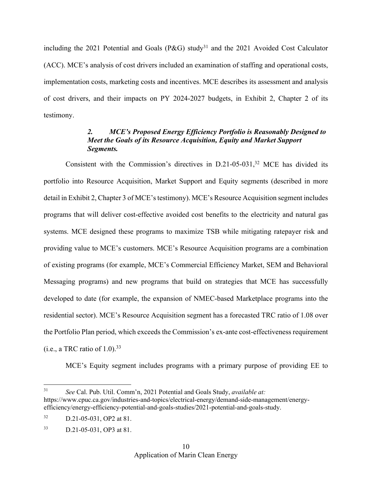including the 2021 Potential and Goals (P&G) study<sup>31</sup> and the 2021 Avoided Cost Calculator (ACC). MCE's analysis of cost drivers included an examination of staffing and operational costs, implementation costs, marketing costs and incentives. MCE describes its assessment and analysis of cost drivers, and their impacts on PY 2024-2027 budgets, in Exhibit 2, Chapter 2 of its testimony.

## *2. MCE's Proposed Energy Efficiency Portfolio is Reasonably Designed to Meet the Goals of its Resource Acquisition, Equity and Market Support Segments.*

Consistent with the Commission's directives in  $D.21$ -05-031,<sup>32</sup> MCE has divided its portfolio into Resource Acquisition, Market Support and Equity segments (described in more detail in Exhibit 2, Chapter 3 of MCE's testimony). MCE's Resource Acquisition segment includes programs that will deliver cost-effective avoided cost benefits to the electricity and natural gas systems. MCE designed these programs to maximize TSB while mitigating ratepayer risk and providing value to MCE's customers. MCE's Resource Acquisition programs are a combination of existing programs (for example, MCE's Commercial Efficiency Market, SEM and Behavioral Messaging programs) and new programs that build on strategies that MCE has successfully developed to date (for example, the expansion of NMEC-based Marketplace programs into the residential sector). MCE's Resource Acquisition segment has a forecasted TRC ratio of 1.08 over the Portfolio Plan period, which exceeds the Commission's ex-ante cost-effectiveness requirement (i.e., a TRC ratio of  $1.0$ ).<sup>33</sup>

MCE's Equity segment includes programs with a primary purpose of providing EE to

<sup>31</sup> *See* Cal. Pub. Util. Comm'n, 2021 Potential and Goals Study, *available at:*  https://www.cpuc.ca.gov/industries-and-topics/electrical-energy/demand-side-management/energyefficiency/energy-efficiency-potential-and-goals-studies/2021-potential-and-goals-study.

<sup>32</sup> D.21-05-031, OP2 at 81.

<sup>33</sup> D.21-05-031, OP3 at 81.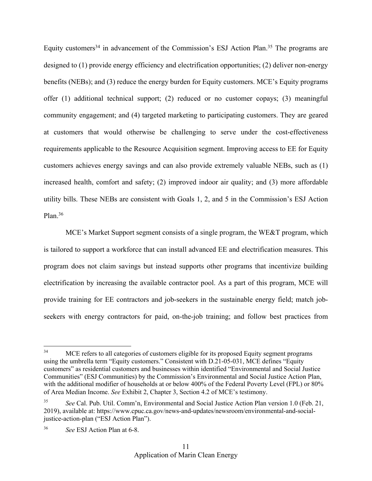Equity customers<sup>34</sup> in advancement of the Commission's ESJ Action Plan.<sup>35</sup> The programs are designed to (1) provide energy efficiency and electrification opportunities; (2) deliver non-energy benefits (NEBs); and (3) reduce the energy burden for Equity customers. MCE's Equity programs offer (1) additional technical support; (2) reduced or no customer copays; (3) meaningful community engagement; and (4) targeted marketing to participating customers. They are geared at customers that would otherwise be challenging to serve under the cost-effectiveness requirements applicable to the Resource Acquisition segment. Improving access to EE for Equity customers achieves energy savings and can also provide extremely valuable NEBs, such as (1) increased health, comfort and safety; (2) improved indoor air quality; and (3) more affordable utility bills. These NEBs are consistent with Goals 1, 2, and 5 in the Commission's ESJ Action Plan. $36$ 

MCE's Market Support segment consists of a single program, the WE&T program, which is tailored to support a workforce that can install advanced EE and electrification measures. This program does not claim savings but instead supports other programs that incentivize building electrification by increasing the available contractor pool. As a part of this program, MCE will provide training for EE contractors and job-seekers in the sustainable energy field; match jobseekers with energy contractors for paid, on-the-job training; and follow best practices from

<sup>&</sup>lt;sup>34</sup> MCE refers to all categories of customers eligible for its proposed Equity segment programs using the umbrella term "Equity customers." Consistent with D.21-05-031, MCE defines "Equity customers" as residential customers and businesses within identified "Environmental and Social Justice Communities" (ESJ Communities) by the Commission's Environmental and Social Justice Action Plan, with the additional modifier of households at or below 400% of the Federal Poverty Level (FPL) or 80% of Area Median Income. *See* Exhibit 2, Chapter 3, Section 4.2 of MCE's testimony.

<sup>35</sup> *See* Cal. Pub. Util. Comm'n, Environmental and Social Justice Action Plan version 1.0 (Feb. 21, 2019), available at: https://www.cpuc.ca.gov/news-and-updates/newsroom/environmental-and-socialjustice-action-plan ("ESJ Action Plan").

<sup>36</sup> *See* ESJ Action Plan at 6-8.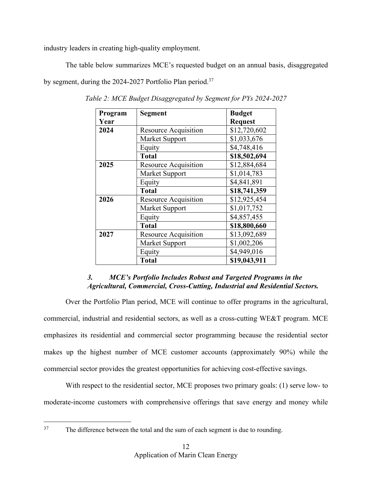industry leaders in creating high-quality employment.

The table below summarizes MCE's requested budget on an annual basis, disaggregated

by segment, during the 2024-2027 Portfolio Plan period.<sup>37</sup>

| Program | <b>Segment</b>              | <b>Budget</b>  |
|---------|-----------------------------|----------------|
| Year    |                             | <b>Request</b> |
| 2024    | Resource Acquisition        | \$12,720,602   |
|         | Market Support              | \$1,033,676    |
|         | Equity                      | \$4,748,416    |
|         | <b>Total</b>                | \$18,502,694   |
| 2025    | <b>Resource Acquisition</b> | \$12,884,684   |
|         | Market Support              | \$1,014,783    |
|         | Equity                      | \$4,841,891    |
|         | <b>Total</b>                | \$18,741,359   |
| 2026    | Resource Acquisition        | \$12,925,454   |
|         | Market Support              | \$1,017,752    |
|         | Equity                      | \$4,857,455    |
|         | <b>Total</b>                | \$18,800,660   |
| 2027    | Resource Acquisition        | \$13,092,689   |
|         | Market Support              | \$1,002,206    |
|         | Equity                      | \$4,949,016    |
|         | <b>Total</b>                | \$19,043,911   |

*Table 2: MCE Budget Disaggregated by Segment for PYs 2024-2027*

# *3. MCE's Portfolio Includes Robust and Targeted Programs in the Agricultural, Commercial, Cross-Cutting, Industrial and Residential Sectors.*

Over the Portfolio Plan period, MCE will continue to offer programs in the agricultural, commercial, industrial and residential sectors, as well as a cross-cutting WE&T program. MCE emphasizes its residential and commercial sector programming because the residential sector makes up the highest number of MCE customer accounts (approximately 90%) while the commercial sector provides the greatest opportunities for achieving cost-effective savings.

With respect to the residential sector, MCE proposes two primary goals: (1) serve low- to moderate-income customers with comprehensive offerings that save energy and money while

<sup>&</sup>lt;sup>37</sup> The difference between the total and the sum of each segment is due to rounding.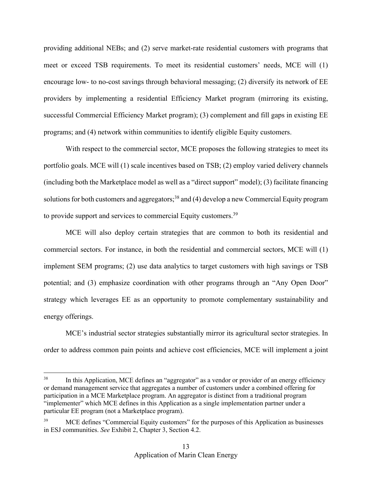providing additional NEBs; and (2) serve market-rate residential customers with programs that meet or exceed TSB requirements. To meet its residential customers' needs, MCE will (1) encourage low- to no-cost savings through behavioral messaging; (2) diversify its network of EE providers by implementing a residential Efficiency Market program (mirroring its existing, successful Commercial Efficiency Market program); (3) complement and fill gaps in existing EE programs; and (4) network within communities to identify eligible Equity customers.

With respect to the commercial sector, MCE proposes the following strategies to meet its portfolio goals. MCE will (1) scale incentives based on TSB; (2) employ varied delivery channels (including both the Marketplace model as well as a "direct support" model); (3) facilitate financing solutions for both customers and aggregators;<sup>38</sup> and (4) develop a new Commercial Equity program to provide support and services to commercial Equity customers.<sup>39</sup>

MCE will also deploy certain strategies that are common to both its residential and commercial sectors. For instance, in both the residential and commercial sectors, MCE will (1) implement SEM programs; (2) use data analytics to target customers with high savings or TSB potential; and (3) emphasize coordination with other programs through an "Any Open Door" strategy which leverages EE as an opportunity to promote complementary sustainability and energy offerings.

MCE's industrial sector strategies substantially mirror its agricultural sector strategies. In order to address common pain points and achieve cost efficiencies, MCE will implement a joint

<sup>&</sup>lt;sup>38</sup> In this Application, MCE defines an "aggregator" as a vendor or provider of an energy efficiency or demand management service that aggregates a number of customers under a combined offering for participation in a MCE Marketplace program. An aggregator is distinct from a traditional program "implementer" which MCE defines in this Application as a single implementation partner under a particular EE program (not a Marketplace program).

MCE defines "Commercial Equity customers" for the purposes of this Application as businesses in ESJ communities. *See* Exhibit 2, Chapter 3, Section 4.2.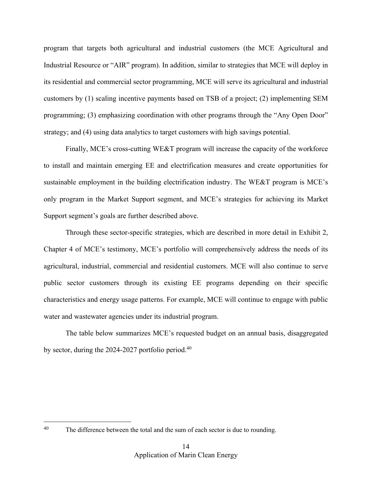program that targets both agricultural and industrial customers (the MCE Agricultural and Industrial Resource or "AIR" program). In addition, similar to strategies that MCE will deploy in its residential and commercial sector programming, MCE will serve its agricultural and industrial customers by (1) scaling incentive payments based on TSB of a project; (2) implementing SEM programming; (3) emphasizing coordination with other programs through the "Any Open Door" strategy; and (4) using data analytics to target customers with high savings potential.

Finally, MCE's cross-cutting WE&T program will increase the capacity of the workforce to install and maintain emerging EE and electrification measures and create opportunities for sustainable employment in the building electrification industry. The WE&T program is MCE's only program in the Market Support segment, and MCE's strategies for achieving its Market Support segment's goals are further described above.

Through these sector-specific strategies, which are described in more detail in Exhibit 2, Chapter 4 of MCE's testimony, MCE's portfolio will comprehensively address the needs of its agricultural, industrial, commercial and residential customers. MCE will also continue to serve public sector customers through its existing EE programs depending on their specific characteristics and energy usage patterns. For example, MCE will continue to engage with public water and wastewater agencies under its industrial program.

The table below summarizes MCE's requested budget on an annual basis, disaggregated by sector, during the 2024-2027 portfolio period.<sup>40</sup>

<sup>&</sup>lt;sup>40</sup> The difference between the total and the sum of each sector is due to rounding.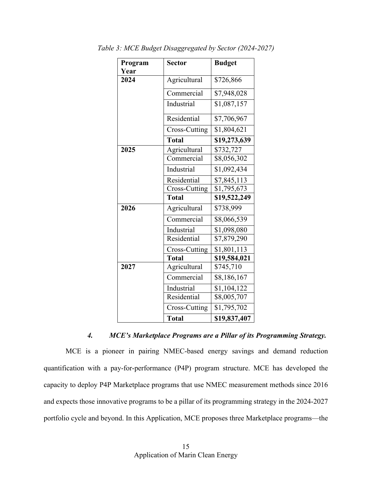| Program | <b>Sector</b> | <b>Budget</b> |  |
|---------|---------------|---------------|--|
| Year    |               |               |  |
| 2024    | Agricultural  | \$726,866     |  |
|         | Commercial    | \$7,948,028   |  |
|         | Industrial    | \$1,087,157   |  |
|         | Residential   | \$7,706,967   |  |
|         | Cross-Cutting | \$1,804,621   |  |
|         | <b>Total</b>  | \$19,273,639  |  |
| 2025    | Agricultural  | \$732,727     |  |
|         | Commercial    | \$8,056,302   |  |
|         | Industrial    | \$1,092,434   |  |
|         | Residential   | \$7,845,113   |  |
|         | Cross-Cutting | \$1,795,673   |  |
|         | <b>Total</b>  | \$19,522,249  |  |
| 2026    | Agricultural  | \$738,999     |  |
|         | Commercial    | \$8,066,539   |  |
|         | Industrial    | \$1,098,080   |  |
|         | Residential   | \$7,879,290   |  |
|         | Cross-Cutting | \$1,801,113   |  |
|         | <b>Total</b>  | \$19,584,021  |  |
| 2027    | Agricultural  | \$745,710     |  |
|         | Commercial    | \$8,186,167   |  |
|         | Industrial    | \$1,104,122   |  |
|         | Residential   | \$8,005,707   |  |
|         | Cross-Cutting | \$1,795,702   |  |
|         | <b>Total</b>  | \$19,837,407  |  |

*Table 3: MCE Budget Disaggregated by Sector (2024-2027)*

*4. MCE's Marketplace Programs are a Pillar of its Programming Strategy.*  MCE is a pioneer in pairing NMEC-based energy savings and demand reduction quantification with a pay-for-performance (P4P) program structure. MCE has developed the capacity to deploy P4P Marketplace programs that use NMEC measurement methods since 2016 and expects those innovative programs to be a pillar of its programming strategy in the 2024-2027 portfolio cycle and beyond. In this Application, MCE proposes three Marketplace programs—the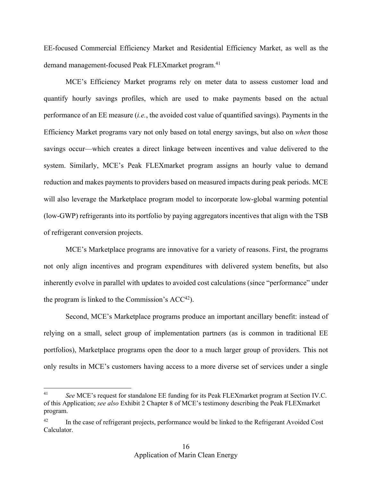EE-focused Commercial Efficiency Market and Residential Efficiency Market, as well as the demand management-focused Peak FLEXmarket program.<sup>41</sup>

MCE's Efficiency Market programs rely on meter data to assess customer load and quantify hourly savings profiles, which are used to make payments based on the actual performance of an EE measure (*i.e.*, the avoided cost value of quantified savings). Payments in the Efficiency Market programs vary not only based on total energy savings, but also on *when* those savings occur—which creates a direct linkage between incentives and value delivered to the system. Similarly, MCE's Peak FLEXmarket program assigns an hourly value to demand reduction and makes payments to providers based on measured impacts during peak periods. MCE will also leverage the Marketplace program model to incorporate low-global warming potential (low-GWP) refrigerants into its portfolio by paying aggregators incentives that align with the TSB of refrigerant conversion projects.

MCE's Marketplace programs are innovative for a variety of reasons. First, the programs not only align incentives and program expenditures with delivered system benefits, but also inherently evolve in parallel with updates to avoided cost calculations (since "performance" under the program is linked to the Commission's  $ACC<sup>42</sup>$ .

Second, MCE's Marketplace programs produce an important ancillary benefit: instead of relying on a small, select group of implementation partners (as is common in traditional EE portfolios), Marketplace programs open the door to a much larger group of providers. This not only results in MCE's customers having access to a more diverse set of services under a single

<sup>41</sup> *See* MCE's request for standalone EE funding for its Peak FLEXmarket program at Section IV.C. of this Application; *see also* Exhibit 2 Chapter 8 of MCE's testimony describing the Peak FLEXmarket program.

<sup>42</sup> In the case of refrigerant projects, performance would be linked to the Refrigerant Avoided Cost Calculator.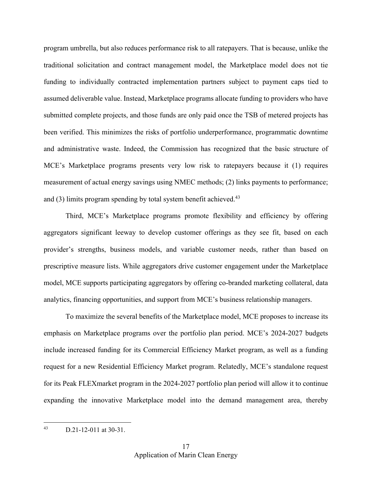program umbrella, but also reduces performance risk to all ratepayers. That is because, unlike the traditional solicitation and contract management model, the Marketplace model does not tie funding to individually contracted implementation partners subject to payment caps tied to assumed deliverable value. Instead, Marketplace programs allocate funding to providers who have submitted complete projects, and those funds are only paid once the TSB of metered projects has been verified. This minimizes the risks of portfolio underperformance, programmatic downtime and administrative waste. Indeed, the Commission has recognized that the basic structure of MCE's Marketplace programs presents very low risk to ratepayers because it (1) requires measurement of actual energy savings using NMEC methods; (2) links payments to performance; and (3) limits program spending by total system benefit achieved.<sup>43</sup>

Third, MCE's Marketplace programs promote flexibility and efficiency by offering aggregators significant leeway to develop customer offerings as they see fit, based on each provider's strengths, business models, and variable customer needs, rather than based on prescriptive measure lists. While aggregators drive customer engagement under the Marketplace model, MCE supports participating aggregators by offering co-branded marketing collateral, data analytics, financing opportunities, and support from MCE's business relationship managers.

To maximize the several benefits of the Marketplace model, MCE proposes to increase its emphasis on Marketplace programs over the portfolio plan period. MCE's 2024-2027 budgets include increased funding for its Commercial Efficiency Market program, as well as a funding request for a new Residential Efficiency Market program. Relatedly, MCE's standalone request for its Peak FLEXmarket program in the 2024-2027 portfolio plan period will allow it to continue expanding the innovative Marketplace model into the demand management area, thereby

 $^{43}$  D.21-12-011 at 30-31.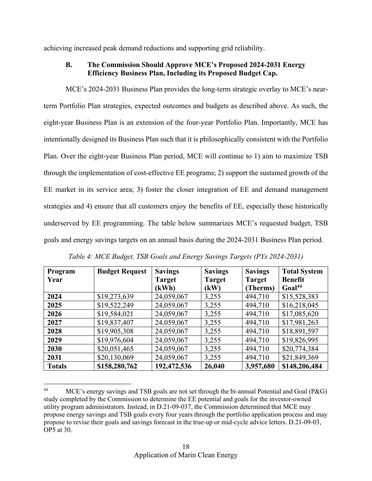achieving increased peak demand reductions and supporting grid reliability.

#### **B. The Commission Should Approve MCE's Proposed 2024-2031 Energy Efficiency Business Plan, Including its Proposed Budget Cap.**

MCE's 2024-2031 Business Plan provides the long-term strategic overlay to MCE's nearterm Portfolio Plan strategies, expected outcomes and budgets as described above. As such, the eight-year Business Plan is an extension of the four-year Portfolio Plan. Importantly, MCE has intentionally designed its Business Plan such that it is philosophically consistent with the Portfolio Plan. Over the eight-year Business Plan period, MCE will continue to 1) aim to maximize TSB through the implementation of cost-effective EE programs; 2) support the sustained growth of the EE market in its service area; 3) foster the closer integration of EE and demand management strategies and 4) ensure that all customers enjoy the benefits of EE, especially those historically underserved by EE programming. The table below summarizes MCE's requested budget, TSB goals and energy savings targets on an annual basis during the 2024-2031 Business Plan period.

| Program       | <b>Budget Request</b> | <b>Savings</b> | <b>Savings</b> | <b>Savings</b> | <b>Total System</b> |
|---------------|-----------------------|----------------|----------------|----------------|---------------------|
| Year          |                       | <b>Target</b>  | <b>Target</b>  | <b>Target</b>  | <b>Benefit</b>      |
|               |                       | (kWh)          | (kW)           | Therms)        | Goal <sup>44</sup>  |
| 2024          | \$19,273,639          | 24,059,067     | 3,255          | 494,710        | \$15,528,383        |
| 2025          | \$19,522,249          | 24,059,067     | 3,255          | 494,710        | \$16,218,045        |
| 2026          | \$19,584,021          | 24,059,067     | 3,255          | 494,710        | \$17,085,620        |
| 2027          | \$19,837,407          | 24,059,067     | 3,255          | 494,710        | \$17,981,263        |
| 2028          | \$19,905,308          | 24,059,067     | 3,255          | 494,710        | \$18,891,597        |
| 2029          | \$19,976,604          | 24,059,067     | 3,255          | 494,710        | \$19,826,995        |
| 2030          | \$20,051,465          | 24,059,067     | 3,255          | 494,710        | \$20,774,384        |
| 2031          | \$20,130,069          | 24,059,067     | 3,255          | 494,710        | \$21,849,369        |
| <b>Totals</b> | \$158,280,762         | 192,472,536    | 26,040         | 3,957,680      | \$148,206,484       |

*Table 4: MCE Budget, TSB Goals and Energy Savings Targets (PYs 2024-2031)*

<sup>&</sup>lt;sup>44</sup> MCE's energy savings and TSB goals are not set through the bi-annual Potential and Goal (P&G) study completed by the Commission to determine the EE potential and goals for the investor-owned utility program administrators. Instead, in D.21-09-037, the Commission determined that MCE may propose energy savings and TSB goals every four years through the portfolio application process and may propose to revise their goals and savings forecast in the true-up or mid-cycle advice letters. D.21-09-03, OP5 at 30.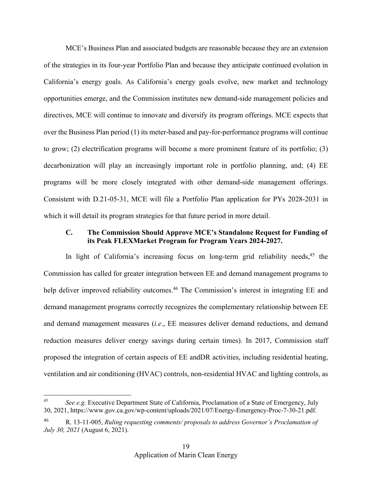MCE's Business Plan and associated budgets are reasonable because they are an extension of the strategies in its four-year Portfolio Plan and because they anticipate continued evolution in California's energy goals. As California's energy goals evolve, new market and technology opportunities emerge, and the Commission institutes new demand-side management policies and directives, MCE will continue to innovate and diversify its program offerings. MCE expects that over the Business Plan period (1) its meter-based and pay-for-performance programs will continue to grow; (2) electrification programs will become a more prominent feature of its portfolio; (3) decarbonization will play an increasingly important role in portfolio planning, and; (4) EE programs will be more closely integrated with other demand-side management offerings. Consistent with D.21-05-31, MCE will file a Portfolio Plan application for PYs 2028-2031 in which it will detail its program strategies for that future period in more detail.

#### **C. The Commission Should Approve MCE's Standalone Request for Funding of its Peak FLEXMarket Program for Program Years 2024-2027.**

In light of California's increasing focus on long-term grid reliability needs,  $45$  the Commission has called for greater integration between EE and demand management programs to help deliver improved reliability outcomes.<sup>46</sup> The Commission's interest in integrating EE and demand management programs correctly recognizes the complementary relationship between EE and demand management measures (*i.e*., EE measures deliver demand reductions, and demand reduction measures deliver energy savings during certain times). In 2017, Commission staff proposed the integration of certain aspects of EE andDR activities, including residential heating, ventilation and air conditioning (HVAC) controls, non-residential HVAC and lighting controls, as

<sup>45</sup> *See e.g.* Executive Department State of California, Proclamation of a State of Emergency, July 30, 2021, https://www.gov.ca.gov/wp-content/uploads/2021/07/Energy-Emergency-Proc-7-30-21.pdf.

<sup>46</sup> R. 13-11-005, *Ruling requesting comments/ proposals to address Governor's Proclamation of July 30, 2021* (August 6, 2021).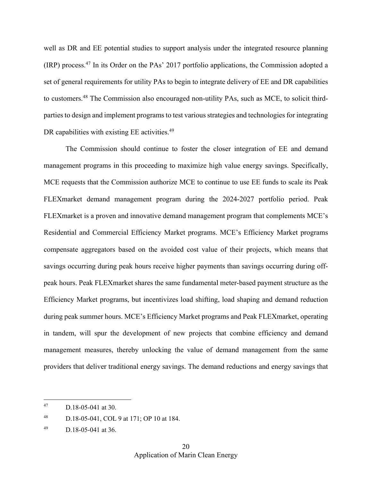well as DR and EE potential studies to support analysis under the integrated resource planning (IRP) process.<sup>47</sup> In its Order on the PAs' 2017 portfolio applications, the Commission adopted a set of general requirements for utility PAs to begin to integrate delivery of EE and DR capabilities to customers.<sup>48</sup> The Commission also encouraged non-utility PAs, such as MCE, to solicit thirdparties to design and implement programs to test various strategies and technologies for integrating DR capabilities with existing EE activities.<sup>49</sup>

The Commission should continue to foster the closer integration of EE and demand management programs in this proceeding to maximize high value energy savings. Specifically, MCE requests that the Commission authorize MCE to continue to use EE funds to scale its Peak FLEXmarket demand management program during the 2024-2027 portfolio period. Peak FLEXmarket is a proven and innovative demand management program that complements MCE's Residential and Commercial Efficiency Market programs. MCE's Efficiency Market programs compensate aggregators based on the avoided cost value of their projects, which means that savings occurring during peak hours receive higher payments than savings occurring during offpeak hours. Peak FLEXmarket shares the same fundamental meter-based payment structure as the Efficiency Market programs, but incentivizes load shifting, load shaping and demand reduction during peak summer hours. MCE's Efficiency Market programs and Peak FLEXmarket, operating in tandem, will spur the development of new projects that combine efficiency and demand management measures, thereby unlocking the value of demand management from the same providers that deliver traditional energy savings. The demand reductions and energy savings that

<sup>47</sup> D.18-05-041 at 30.

<sup>48</sup> D.18-05-041, COL 9 at 171; OP 10 at 184.

 $^{49}$  D.18-05-041 at 36.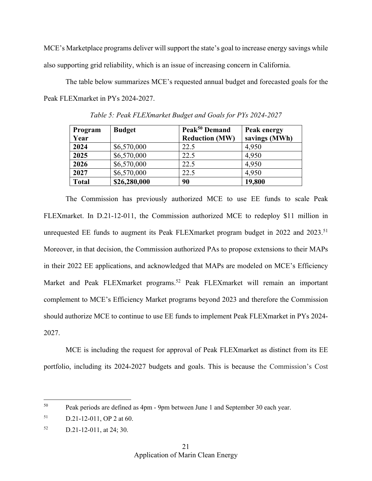MCE's Marketplace programs deliver will support the state's goal to increase energy savings while also supporting grid reliability, which is an issue of increasing concern in California.

The table below summarizes MCE's requested annual budget and forecasted goals for the Peak FLEXmarket in PYs 2024-2027.

| Program      | <b>Budget</b> | Peak <sup>50</sup> Demand | Peak energy   |
|--------------|---------------|---------------------------|---------------|
| Year         |               | <b>Reduction (MW)</b>     | savings (MWh) |
| 2024         | \$6,570,000   | 22.5                      | 4,950         |
| 2025         | \$6,570,000   | 22.5                      | 4,950         |
| 2026         | \$6,570,000   | 22.5                      | 4,950         |
| 2027         | \$6,570,000   | 22.5                      | 4,950         |
| <b>Total</b> | \$26,280,000  | 90                        | 19,800        |

*Table 5: Peak FLEXmarket Budget and Goals for PYs 2024-2027*

The Commission has previously authorized MCE to use EE funds to scale Peak FLEXmarket. In D.21-12-011, the Commission authorized MCE to redeploy \$11 million in unrequested EE funds to augment its Peak FLEXmarket program budget in 2022 and 2023.<sup>51</sup> Moreover, in that decision, the Commission authorized PAs to propose extensions to their MAPs in their 2022 EE applications, and acknowledged that MAPs are modeled on MCE's Efficiency Market and Peak FLEXmarket programs.<sup>52</sup> Peak FLEXmarket will remain an important complement to MCE's Efficiency Market programs beyond 2023 and therefore the Commission should authorize MCE to continue to use EE funds to implement Peak FLEXmarket in PYs 2024- 2027.

MCE is including the request for approval of Peak FLEXmarket as distinct from its EE portfolio, including its 2024-2027 budgets and goals. This is because the Commission's Cost

<sup>50</sup> Peak periods are defined as 4pm - 9pm between June 1 and September 30 each year.

 $51$  D.21-12-011, OP 2 at 60.

 $52$  D.21-12-011, at 24; 30.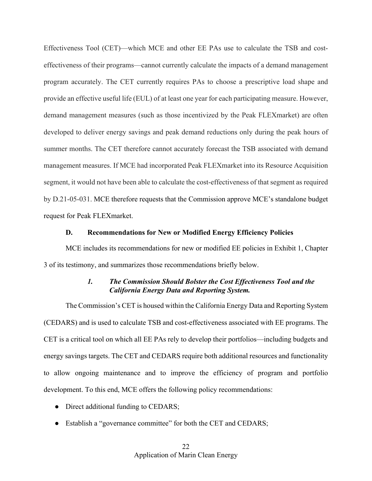Effectiveness Tool (CET)—which MCE and other EE PAs use to calculate the TSB and costeffectiveness of their programs—cannot currently calculate the impacts of a demand management program accurately. The CET currently requires PAs to choose a prescriptive load shape and provide an effective useful life (EUL) of at least one year for each participating measure. However, demand management measures (such as those incentivized by the Peak FLEXmarket) are often developed to deliver energy savings and peak demand reductions only during the peak hours of summer months. The CET therefore cannot accurately forecast the TSB associated with demand management measures. If MCE had incorporated Peak FLEXmarket into its Resource Acquisition segment, it would not have been able to calculate the cost-effectiveness of that segment as required by D.21-05-031. MCE therefore requests that the Commission approve MCE's standalone budget request for Peak FLEXmarket.

#### **D. Recommendations for New or Modified Energy Efficiency Policies**

MCE includes its recommendations for new or modified EE policies in Exhibit 1, Chapter 3 of its testimony, and summarizes those recommendations briefly below.

## *1. The Commission Should Bolster the Cost Effectiveness Tool and the California Energy Data and Reporting System.*

The Commission's CET is housed within the California Energy Data and Reporting System (CEDARS) and is used to calculate TSB and cost-effectiveness associated with EE programs. The CET is a critical tool on which all EE PAs rely to develop their portfolios—including budgets and energy savings targets. The CET and CEDARS require both additional resources and functionality to allow ongoing maintenance and to improve the efficiency of program and portfolio development. To this end, MCE offers the following policy recommendations:

- Direct additional funding to CEDARS;
- Establish a "governance committee" for both the CET and CEDARS;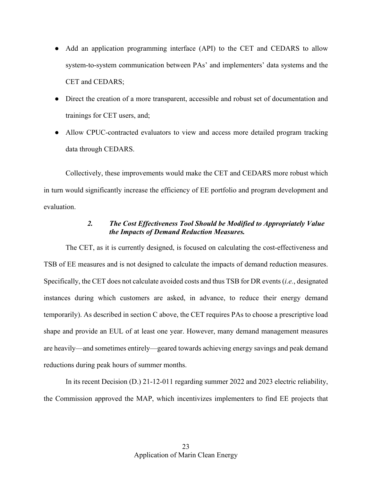- Add an application programming interface (API) to the CET and CEDARS to allow system-to-system communication between PAs' and implementers' data systems and the CET and CEDARS;
- Direct the creation of a more transparent, accessible and robust set of documentation and trainings for CET users, and;
- Allow CPUC-contracted evaluators to view and access more detailed program tracking data through CEDARS.

Collectively, these improvements would make the CET and CEDARS more robust which in turn would significantly increase the efficiency of EE portfolio and program development and evaluation.

# *2. The Cost Effectiveness Tool Should be Modified to Appropriately Value the Impacts of Demand Reduction Measures.*

The CET, as it is currently designed, is focused on calculating the cost-effectiveness and TSB of EE measures and is not designed to calculate the impacts of demand reduction measures. Specifically, the CET does not calculate avoided costs and thus TSB for DR events(*i.e.*, designated instances during which customers are asked, in advance, to reduce their energy demand temporarily). As described in section C above, the CET requires PAs to choose a prescriptive load shape and provide an EUL of at least one year. However, many demand management measures are heavily—and sometimes entirely—geared towards achieving energy savings and peak demand reductions during peak hours of summer months.

In its recent Decision (D.) 21-12-011 regarding summer 2022 and 2023 electric reliability, the Commission approved the MAP, which incentivizes implementers to find EE projects that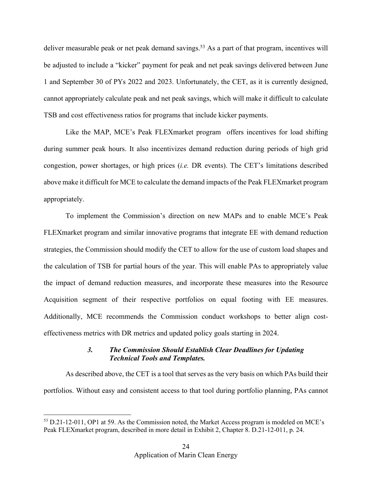deliver measurable peak or net peak demand savings.<sup>53</sup> As a part of that program, incentives will be adjusted to include a "kicker" payment for peak and net peak savings delivered between June 1 and September 30 of PYs 2022 and 2023. Unfortunately, the CET, as it is currently designed, cannot appropriately calculate peak and net peak savings, which will make it difficult to calculate TSB and cost effectiveness ratios for programs that include kicker payments.

Like the MAP, MCE's Peak FLEXmarket program offers incentives for load shifting during summer peak hours. It also incentivizes demand reduction during periods of high grid congestion, power shortages, or high prices (*i.e.* DR events). The CET's limitations described above make it difficult for MCE to calculate the demand impacts of the Peak FLEXmarket program appropriately.

To implement the Commission's direction on new MAPs and to enable MCE's Peak FLEXmarket program and similar innovative programs that integrate EE with demand reduction strategies, the Commission should modify the CET to allow for the use of custom load shapes and the calculation of TSB for partial hours of the year. This will enable PAs to appropriately value the impact of demand reduction measures, and incorporate these measures into the Resource Acquisition segment of their respective portfolios on equal footing with EE measures. Additionally, MCE recommends the Commission conduct workshops to better align costeffectiveness metrics with DR metrics and updated policy goals starting in 2024.

#### *3. The Commission Should Establish Clear Deadlines for Updating Technical Tools and Templates.*

As described above, the CET is a tool that serves as the very basis on which PAs build their portfolios. Without easy and consistent access to that tool during portfolio planning, PAs cannot

<sup>&</sup>lt;sup>53</sup> D.21-12-011, OP1 at 59. As the Commission noted, the Market Access program is modeled on MCE's Peak FLEXmarket program, described in more detail in Exhibit 2, Chapter 8. D.21-12-011, p. 24.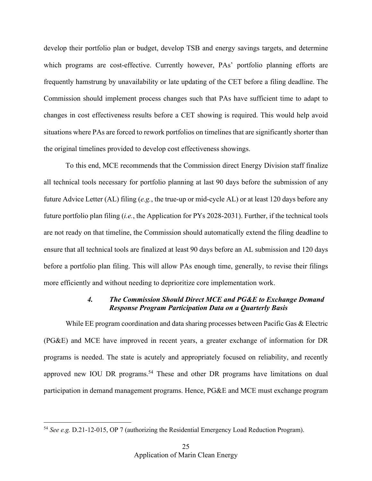develop their portfolio plan or budget, develop TSB and energy savings targets, and determine which programs are cost-effective. Currently however, PAs' portfolio planning efforts are frequently hamstrung by unavailability or late updating of the CET before a filing deadline. The Commission should implement process changes such that PAs have sufficient time to adapt to changes in cost effectiveness results before a CET showing is required. This would help avoid situations where PAs are forced to rework portfolios on timelines that are significantly shorter than the original timelines provided to develop cost effectiveness showings.

To this end, MCE recommends that the Commission direct Energy Division staff finalize all technical tools necessary for portfolio planning at last 90 days before the submission of any future Advice Letter (AL) filing (*e.g.*, the true-up or mid-cycle AL) or at least 120 days before any future portfolio plan filing (*i.e.*, the Application for PYs 2028-2031). Further, if the technical tools are not ready on that timeline, the Commission should automatically extend the filing deadline to ensure that all technical tools are finalized at least 90 days before an AL submission and 120 days before a portfolio plan filing. This will allow PAs enough time, generally, to revise their filings more efficiently and without needing to deprioritize core implementation work.

#### *4. The Commission Should Direct MCE and PG&E to Exchange Demand Response Program Participation Data on a Quarterly Basis*

While EE program coordination and data sharing processes between Pacific Gas & Electric (PG&E) and MCE have improved in recent years, a greater exchange of information for DR programs is needed. The state is acutely and appropriately focused on reliability, and recently approved new IOU DR programs.<sup>54</sup> These and other DR programs have limitations on dual participation in demand management programs. Hence, PG&E and MCE must exchange program

<sup>54</sup> *See e.g.* D.21-12-015, OP 7 (authorizing the Residential Emergency Load Reduction Program).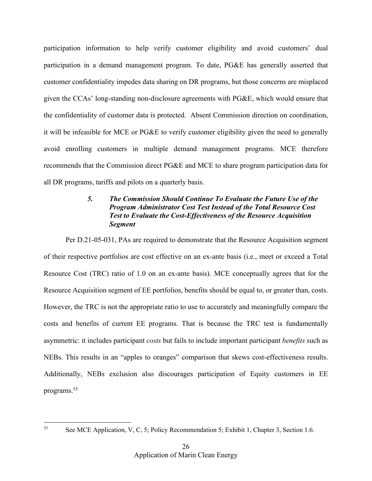participation information to help verify customer eligibility and avoid customers' dual participation in a demand management program. To date, PG&E has generally asserted that customer confidentiality impedes data sharing on DR programs, but those concerns are misplaced given the CCAs' long-standing non-disclosure agreements with PG&E, which would ensure that the confidentiality of customer data is protected. Absent Commission direction on coordination, it will be infeasible for MCE or PG&E to verify customer eligibility given the need to generally avoid enrolling customers in multiple demand management programs. MCE therefore recommends that the Commission direct PG&E and MCE to share program participation data for all DR programs, tariffs and pilots on a quarterly basis.

## *5. The Commission Should Continue To Evaluate the Future Use of the Program Administrator Cost Test Instead of the Total Resource Cost Test to Evaluate the Cost-Effectiveness of the Resource Acquisition Segment*

Per D.21-05-031, PAs are required to demonstrate that the Resource Acquisition segment of their respective portfolios are cost effective on an ex-ante basis (i.e., meet or exceed a Total Resource Cost (TRC) ratio of 1.0 on an ex-ante basis). MCE conceptually agrees that for the Resource Acquisition segment of EE portfolios, benefits should be equal to, or greater than, costs. However, the TRC is not the appropriate ratio to use to accurately and meaningfully compare the costs and benefits of current EE programs. That is because the TRC test is fundamentally asymmetric: it includes participant *costs* but fails to include important participant *benefits* such as NEBs. This results in an "apples to oranges" comparison that skews cost-effectiveness results. Additionally, NEBs exclusion also discourages participation of Equity customers in EE programs.<sup>55</sup>

<sup>&</sup>lt;sup>55</sup> See MCE Application, V, C, 5; Policy Recommendation 5; Exhibit 1, Chapter 3, Section 1.6.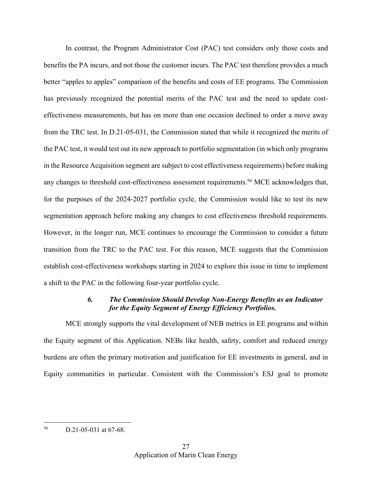In contrast, the Program Administrator Cost (PAC) test considers only those costs and benefits the PA incurs, and not those the customer incurs. The PAC test therefore provides a much better "apples to apples" comparison of the benefits and costs of EE programs. The Commission has previously recognized the potential merits of the PAC test and the need to update costeffectiveness measurements, but has on more than one occasion declined to order a move away from the TRC test. In D.21-05-031, the Commission stated that while it recognized the merits of the PAC test, it would test out its new approach to portfolio segmentation (in which only programs in the Resource Acquisition segment are subject to cost effectiveness requirements) before making any changes to threshold cost-effectiveness assessment requirements.<sup>56</sup> MCE acknowledges that, for the purposes of the 2024-2027 portfolio cycle, the Commission would like to test its new segmentation approach before making any changes to cost effectiveness threshold requirements. However, in the longer run, MCE continues to encourage the Commission to consider a future transition from the TRC to the PAC test. For this reason, MCE suggests that the Commission establish cost-effectiveness workshops starting in 2024 to explore this issue in time to implement a shift to the PAC in the following four-year portfolio cycle.

#### *6. The Commission Should Develop Non-Energy Benefits as an Indicator for the Equity Segment of Energy Efficiency Portfolios.*

MCE strongly supports the vital development of NEB metrics in EE programs and within the Equity segment of this Application. NEBs like health, safety, comfort and reduced energy burdens are often the primary motivation and justification for EE investments in general, and in Equity communities in particular. Consistent with the Commission's ESJ goal to promote

<sup>56</sup> D.21-05-031 at 67-68.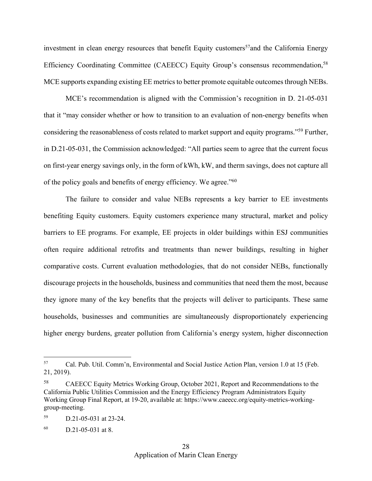investment in clean energy resources that benefit Equity customers<sup>57</sup> and the California Energy Efficiency Coordinating Committee (CAEECC) Equity Group's consensus recommendation,<sup>58</sup> MCE supports expanding existing EE metrics to better promote equitable outcomes through NEBs.

MCE's recommendation is aligned with the Commission's recognition in D. 21-05-031 that it "may consider whether or how to transition to an evaluation of non-energy benefits when considering the reasonableness of costs related to market support and equity programs."<sup>59</sup> Further, in D.21-05-031, the Commission acknowledged: "All parties seem to agree that the current focus on first-year energy savings only, in the form of kWh, kW, and therm savings, does not capture all of the policy goals and benefits of energy efficiency. We agree."<sup>60</sup>

The failure to consider and value NEBs represents a key barrier to EE investments benefiting Equity customers. Equity customers experience many structural, market and policy barriers to EE programs. For example, EE projects in older buildings within ESJ communities often require additional retrofits and treatments than newer buildings, resulting in higher comparative costs. Current evaluation methodologies, that do not consider NEBs, functionally discourage projects in the households, business and communities that need them the most, because they ignore many of the key benefits that the projects will deliver to participants. These same households, businesses and communities are simultaneously disproportionately experiencing higher energy burdens, greater pollution from California's energy system, higher disconnection

<sup>57</sup> Cal. Pub. Util. Comm'n, Environmental and Social Justice Action Plan, version 1.0 at 15 (Feb. 21, 2019).

<sup>58</sup> CAEECC Equity Metrics Working Group, October 2021, Report and Recommendations to the California Public Utilities Commission and the Energy Efficiency Program Administrators Equity Working Group Final Report, at 19-20, available at: https://www.caeecc.org/equity-metrics-workinggroup-meeting.

<sup>59</sup> D.21-05-031 at 23-24.

 $b^{60}$  D.21-05-031 at 8.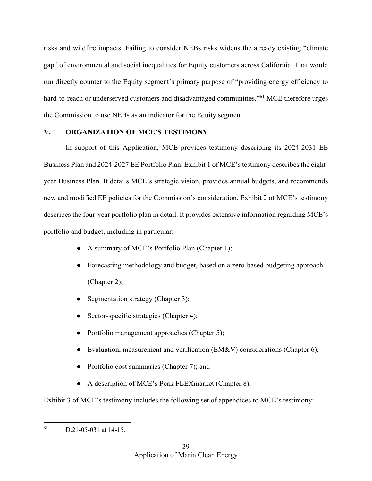risks and wildfire impacts. Failing to consider NEBs risks widens the already existing "climate gap" of environmental and social inequalities for Equity customers across California. That would run directly counter to the Equity segment's primary purpose of "providing energy efficiency to hard-to-reach or underserved customers and disadvantaged communities."<sup>61</sup> MCE therefore urges the Commission to use NEBs as an indicator for the Equity segment.

#### **V. ORGANIZATION OF MCE'S TESTIMONY**

In support of this Application, MCE provides testimony describing its 2024-2031 EE Business Plan and 2024-2027 EE Portfolio Plan. Exhibit 1 of MCE's testimony describes the eightyear Business Plan. It details MCE's strategic vision, provides annual budgets, and recommends new and modified EE policies for the Commission's consideration. Exhibit 2 of MCE's testimony describes the four-year portfolio plan in detail. It provides extensive information regarding MCE's portfolio and budget, including in particular:

- A summary of MCE's Portfolio Plan (Chapter 1);
- Forecasting methodology and budget, based on a zero-based budgeting approach (Chapter 2);
- Segmentation strategy (Chapter 3);
- Sector-specific strategies (Chapter 4);
- Portfolio management approaches (Chapter 5);
- Evaluation, measurement and verification (EM&V) considerations (Chapter 6);
- Portfolio cost summaries (Chapter 7); and
- A description of MCE's Peak FLEXmarket (Chapter 8).

Exhibit 3 of MCE's testimony includes the following set of appendices to MCE's testimony:

 $61$  D.21-05-031 at 14-15.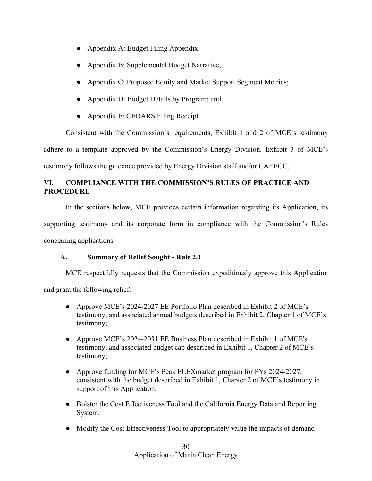- Appendix A: Budget Filing Appendix;
- Appendix B: Supplemental Budget Narrative;
- Appendix C: Proposed Equity and Market Support Segment Metrics;
- Appendix D: Budget Details by Program; and
- Appendix E: CEDARS Filing Receipt.

Consistent with the Commission's requirements, Exhibit 1 and 2 of MCE's testimony adhere to a template approved by the Commission's Energy Division. Exhibit 3 of MCE's testimony follows the guidance provided by Energy Division staff and/or CAEECC.

# **VI. COMPLIANCE WITH THE COMMISSION'S RULES OF PRACTICE AND PROCEDURE**

In the sections below, MCE provides certain information regarding its Application, its supporting testimony and its corporate form in compliance with the Commission's Rules concerning applications.

# **A. Summary of Relief Sought - Rule 2.1**

MCE respectfully requests that the Commission expeditiously approve this Application

and grant the following relief:

- Approve MCE's 2024-2027 EE Portfolio Plan described in Exhibit 2 of MCE's testimony, and associated annual budgets described in Exhibit 2, Chapter 1 of MCE's testimony;
- Approve MCE's 2024-2031 EE Business Plan described in Exhibit 1 of MCE's testimony, and associated budget cap described in Exhibit 1, Chapter 2 of MCE's testimony;
- Approve funding for MCE's Peak FLEXmarket program for PYs 2024-2027, consistent with the budget described in Exhibit 1, Chapter 2 of MCE's testimony in support of this Application;
- Bolster the Cost Effectiveness Tool and the California Energy Data and Reporting System;
- Modify the Cost Effectiveness Tool to appropriately value the impacts of demand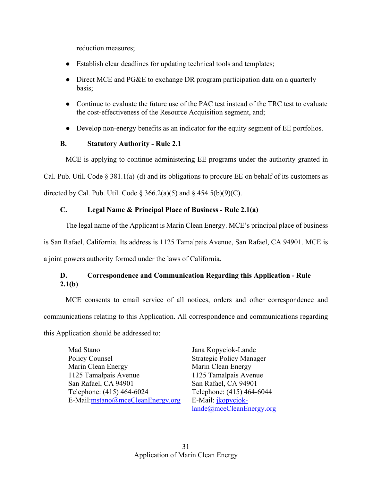reduction measures;

- Establish clear deadlines for updating technical tools and templates;
- Direct MCE and PG&E to exchange DR program participation data on a quarterly basis;
- Continue to evaluate the future use of the PAC test instead of the TRC test to evaluate the cost-effectiveness of the Resource Acquisition segment, and;
- Develop non-energy benefits as an indicator for the equity segment of EE portfolios.

# **B. Statutory Authority - Rule 2.1**

MCE is applying to continue administering EE programs under the authority granted in Cal. Pub. Util. Code  $\S 381.1(a)$ -(d) and its obligations to procure EE on behalf of its customers as directed by Cal. Pub. Util. Code  $\S$  366.2(a)(5) and  $\S$  454.5(b)(9)(C).

# **C. Legal Name & Principal Place of Business - Rule 2.1(a)**

The legal name of the Applicant is Marin Clean Energy. MCE's principal place of business is San Rafael, California. Its address is 1125 Tamalpais Avenue, San Rafael, CA 94901. MCE is a joint powers authority formed under the laws of California.

# **D. Correspondence and Communication Regarding this Application - Rule 2.1(b)**

MCE consents to email service of all notices, orders and other correspondence and communications relating to this Application. All correspondence and communications regarding this Application should be addressed to:

Mad Stano Policy Counsel Marin Clean Energy 1125 Tamalpais Avenue San Rafael, CA 94901 Telephone: (415) 464-6024 E-Mail:mstano@mceCleanEnergy.org Jana Kopyciok-Lande Strategic Policy Manager Marin Clean Energy 1125 Tamalpais Avenue San Rafael, CA 94901 Telephone: (415) 464-6044 E-Mail: jkopycioklande@mceCleanEnergy.org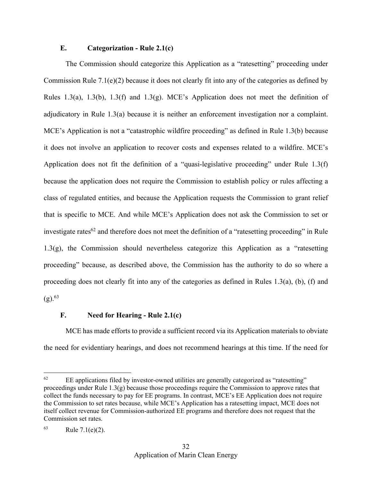#### **E. Categorization - Rule 2.1(c)**

The Commission should categorize this Application as a "ratesetting" proceeding under Commission Rule  $7.1(e)(2)$  because it does not clearly fit into any of the categories as defined by Rules 1.3(a), 1.3(b), 1.3(f) and 1.3(g). MCE's Application does not meet the definition of adjudicatory in Rule 1.3(a) because it is neither an enforcement investigation nor a complaint. MCE's Application is not a "catastrophic wildfire proceeding" as defined in Rule 1.3(b) because it does not involve an application to recover costs and expenses related to a wildfire. MCE's Application does not fit the definition of a "quasi-legislative proceeding" under Rule 1.3(f) because the application does not require the Commission to establish policy or rules affecting a class of regulated entities, and because the Application requests the Commission to grant relief that is specific to MCE. And while MCE's Application does not ask the Commission to set or investigate rates $62$  and therefore does not meet the definition of a "ratesetting proceeding" in Rule 1.3(g), the Commission should nevertheless categorize this Application as a "ratesetting proceeding" because, as described above, the Commission has the authority to do so where a proceeding does not clearly fit into any of the categories as defined in Rules 1.3(a), (b), (f) and  $(g)$ .  $63$ 

#### **F. Need for Hearing - Rule 2.1(c)**

MCE has made efforts to provide a sufficient record via its Application materials to obviate the need for evidentiary hearings, and does not recommend hearings at this time. If the need for

 $62$  EE applications filed by investor-owned utilities are generally categorized as "ratesetting" proceedings under Rule 1.3(g) because those proceedings require the Commission to approve rates that collect the funds necessary to pay for EE programs. In contrast, MCE's EE Application does not require the Commission to set rates because, while MCE's Application has a ratesetting impact, MCE does not itself collect revenue for Commission-authorized EE programs and therefore does not request that the Commission set rates.

 $63$  Rule 7.1(e)(2).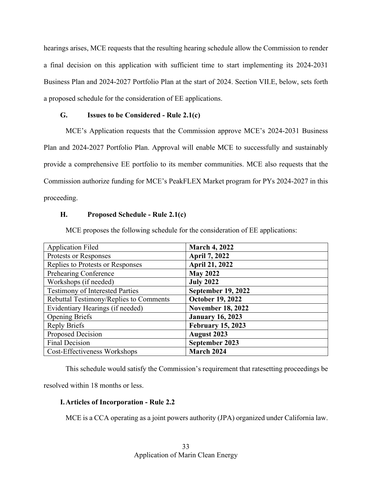hearings arises, MCE requests that the resulting hearing schedule allow the Commission to render a final decision on this application with sufficient time to start implementing its 2024-2031 Business Plan and 2024-2027 Portfolio Plan at the start of 2024. Section VII.E, below, sets forth a proposed schedule for the consideration of EE applications.

#### **G. Issues to be Considered - Rule 2.1(c)**

MCE's Application requests that the Commission approve MCE's 2024-2031 Business Plan and 2024-2027 Portfolio Plan. Approval will enable MCE to successfully and sustainably provide a comprehensive EE portfolio to its member communities. MCE also requests that the Commission authorize funding for MCE's PeakFLEX Market program for PYs 2024-2027 in this proceeding.

#### **H. Proposed Schedule - Rule 2.1(c)**

MCE proposes the following schedule for the consideration of EE applications:

| <b>Application Filed</b>               | <b>March 4, 2022</b>      |
|----------------------------------------|---------------------------|
| Protests or Responses                  | <b>April 7, 2022</b>      |
| Replies to Protests or Responses       | <b>April 21, 2022</b>     |
| Prehearing Conference                  | <b>May 2022</b>           |
| Workshops (if needed)                  | <b>July 2022</b>          |
| <b>Testimony of Interested Parties</b> | <b>September 19, 2022</b> |
| Rebuttal Testimony/Replies to Comments | <b>October 19, 2022</b>   |
| Evidentiary Hearings (if needed)       | <b>November 18, 2022</b>  |
| <b>Opening Briefs</b>                  | <b>January 16, 2023</b>   |
| <b>Reply Briefs</b>                    | <b>February 15, 2023</b>  |
| Proposed Decision                      | <b>August 2023</b>        |
| <b>Final Decision</b>                  | September 2023            |
| Cost-Effectiveness Workshops           | March 2024                |

This schedule would satisfy the Commission's requirement that ratesetting proceedings be

resolved within 18 months or less.

# **I.Articles of Incorporation - Rule 2.2**

MCE is a CCA operating as a joint powers authority (JPA) organized under California law.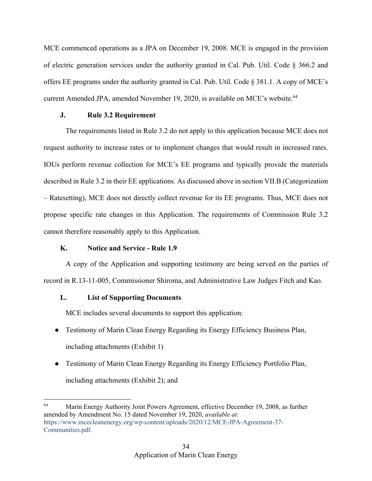MCE commenced operations as a JPA on December 19, 2008. MCE is engaged in the provision of electric generation services under the authority granted in Cal. Pub. Util. Code § 366.2 and offers EE programs under the authority granted in Cal. Pub. Util. Code § 381.1. A copy of MCE's current Amended JPA, amended November 19, 2020, is available on MCE's website.<sup>64</sup>

#### **J. Rule 3.2 Requirement**

The requirements listed in Rule 3.2 do not apply to this application because MCE does not request authority to increase rates or to implement changes that would result in increased rates. IOUs perform revenue collection for MCE's EE programs and typically provide the materials described in Rule 3.2 in their EE applications. As discussed above in section VII.B (Categorization – Ratesetting), MCE does not directly collect revenue for its EE programs. Thus, MCE does not propose specific rate changes in this Application. The requirements of Commission Rule 3.2 cannot therefore reasonably apply to this Application.

#### **K. Notice and Service - Rule 1.9**

A copy of the Application and supporting testimony are being served on the parties of record in R.13-11-005, Commissioner Shiroma, and Administrative Law Judges Fitch and Kao.

# **L. List of Supporting Documents**

MCE includes several documents to support this application:

- Testimony of Marin Clean Energy Regarding its Energy Efficiency Business Plan, including attachments (Exhibit 1)
- Testimony of Marin Clean Energy Regarding its Energy Efficiency Portfolio Plan, including attachments (Exhibit 2); and

<sup>&</sup>lt;sup>64</sup> Marin Energy Authority Joint Powers Agreement, effective December 19, 2008, as further amended by Amendment No. 15 dated November 19, 2020, *available at:*  https://www.mcecleanenergy.org/wp-content/uploads/2020/12/MCE-JPA-Agreement-37- Communities.pdf.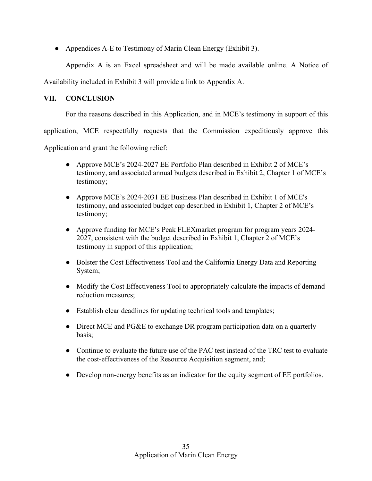● Appendices A-E to Testimony of Marin Clean Energy (Exhibit 3).

Appendix A is an Excel spreadsheet and will be made available online. A Notice of

Availability included in Exhibit 3 will provide a link to Appendix A.

# **VII. CONCLUSION**

For the reasons described in this Application, and in MCE's testimony in support of this

application, MCE respectfully requests that the Commission expeditiously approve this

Application and grant the following relief:

- Approve MCE's 2024-2027 EE Portfolio Plan described in Exhibit 2 of MCE's testimony, and associated annual budgets described in Exhibit 2, Chapter 1 of MCE's testimony;
- Approve MCE's 2024-2031 EE Business Plan described in Exhibit 1 of MCE's testimony, and associated budget cap described in Exhibit 1, Chapter 2 of MCE's testimony;
- Approve funding for MCE's Peak FLEXmarket program for program years 2024- 2027, consistent with the budget described in Exhibit 1, Chapter 2 of MCE's testimony in support of this application;
- Bolster the Cost Effectiveness Tool and the California Energy Data and Reporting System;
- Modify the Cost Effectiveness Tool to appropriately calculate the impacts of demand reduction measures;
- Establish clear deadlines for updating technical tools and templates;
- Direct MCE and PG&E to exchange DR program participation data on a quarterly basis;
- Continue to evaluate the future use of the PAC test instead of the TRC test to evaluate the cost-effectiveness of the Resource Acquisition segment, and;
- Develop non-energy benefits as an indicator for the equity segment of EE portfolios.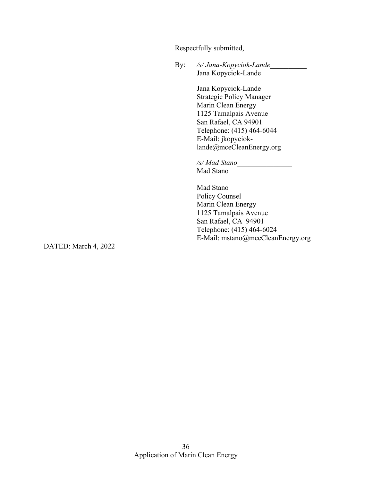Respectfully submitted,

By: /s/*Jana-Kopyciok-Lande* Jana Kopyciok-Lande

> Jana Kopyciok-Lande Strategic Policy Manager Marin Clean Energy 1125 Tamalpais Avenue San Rafael, CA 94901 Telephone: (415) 464-6044 E-Mail: jkopycioklande@mceCleanEnergy.org

*/s/ Mad Stano\_\_\_\_\_\_\_\_\_\_\_\_\_\_\_* Mad Stano

Mad Stano Policy Counsel Marin Clean Energy 1125 Tamalpais Avenue San Rafael, CA 94901 Telephone: (415) 464-6024 E-Mail: mstano@mceCleanEnergy.org

DATED: March 4, 2022